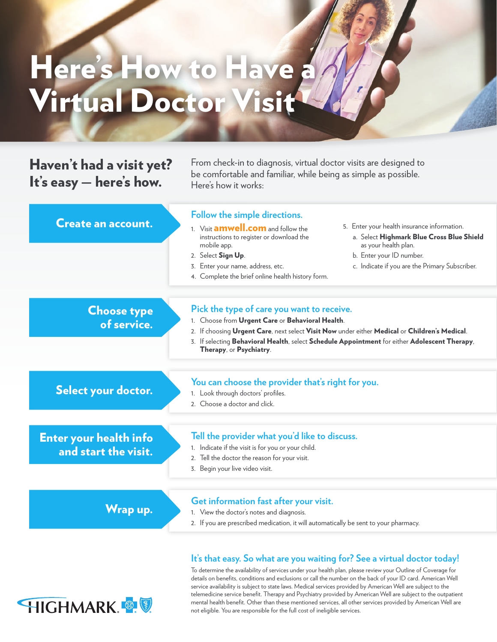## Here's How to Have a Virtual Doctor Visit

## Haven't had a visit yet? It's easy — here's how.

HIGHMARK &

From check-in to diagnosis, virtual doctor visits are designed to be comfortable and familiar, while being as simple as possible. Here's how it works:

| <b>Create an account.</b>                             | Follow the simple directions.<br>5. Enter your health insurance information.<br>1. Visit <b>amwell.com</b> and follow the<br>a. Select Highmark Blue Cross Blue Shield<br>instructions to register or download the<br>as your health plan.<br>mobile app.<br>b. Enter your ID number.<br>2. Select Sign Up.<br>3. Enter your name, address, etc.<br>c. Indicate if you are the Primary Subscriber.<br>4. Complete the brief online health history form. |
|-------------------------------------------------------|---------------------------------------------------------------------------------------------------------------------------------------------------------------------------------------------------------------------------------------------------------------------------------------------------------------------------------------------------------------------------------------------------------------------------------------------------------|
| <b>Choose type</b><br>of service.                     | Pick the type of care you want to receive.<br>1. Choose from Urgent Care or Behavioral Health.<br>2. If choosing Urgent Care, next select Visit Now under either Medical or Children's Medical.<br>3. If selecting Behavioral Health, select Schedule Appointment for either Adolescent Therapy,<br>Therapy, or Psychiatry.                                                                                                                             |
| Select your doctor.                                   | You can choose the provider that's right for you.<br>1. Look through doctors' profiles.<br>2. Choose a doctor and click.                                                                                                                                                                                                                                                                                                                                |
| <b>Enter your health info</b><br>and start the visit. | Tell the provider what you'd like to discuss.<br>1. Indicate if the visit is for you or your child.<br>2. Tell the doctor the reason for your visit.<br>3. Begin your live video visit.                                                                                                                                                                                                                                                                 |
| Wrap up.                                              | Get information fast after your visit.<br>1. View the doctor's notes and diagnosis.<br>2. If you are prescribed medication, it will automatically be sent to your pharmacy.                                                                                                                                                                                                                                                                             |
|                                                       | It's that easy. So what are you waiting for? See a virtual doctor today!                                                                                                                                                                                                                                                                                                                                                                                |

To determine the availability of services under your health plan, please review your Outline of Coverage for details on benefits, conditions and exclusions or call the number on the back of your ID card. American Well service availability is subject to state laws. Medical services provided by American Well are subject to the telemedicine service benefit. Therapy and Psychiatry provided by American Well are subject to the outpatient mental health benefit. Other than these mentioned services, all other services provided by American Well are not eligible. You are responsible for the full cost of ineligible services.